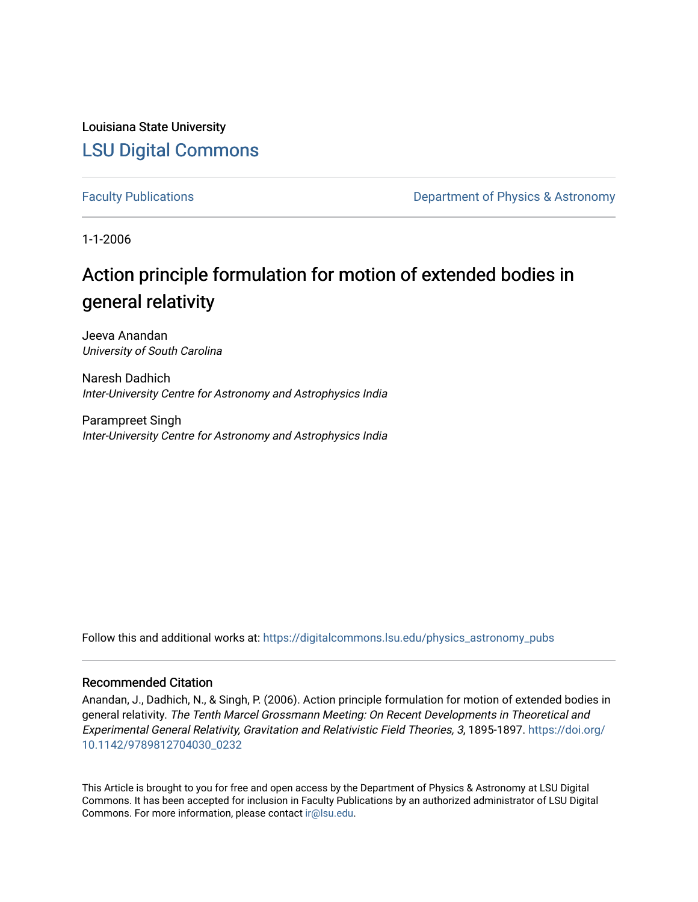Louisiana State University [LSU Digital Commons](https://digitalcommons.lsu.edu/)

[Faculty Publications](https://digitalcommons.lsu.edu/physics_astronomy_pubs) **Exercise 2 and Table 2 and Table 2 and Table 2 and Table 2 and Table 2 and Table 2 and Table 2 and Table 2 and Table 2 and Table 2 and Table 2 and Table 2 and Table 2 and Table 2 and Table 2 and Table** 

1-1-2006

## Action principle formulation for motion of extended bodies in general relativity

Jeeva Anandan University of South Carolina

Naresh Dadhich Inter-University Centre for Astronomy and Astrophysics India

Parampreet Singh Inter-University Centre for Astronomy and Astrophysics India

Follow this and additional works at: [https://digitalcommons.lsu.edu/physics\\_astronomy\\_pubs](https://digitalcommons.lsu.edu/physics_astronomy_pubs?utm_source=digitalcommons.lsu.edu%2Fphysics_astronomy_pubs%2F5092&utm_medium=PDF&utm_campaign=PDFCoverPages) 

#### Recommended Citation

Anandan, J., Dadhich, N., & Singh, P. (2006). Action principle formulation for motion of extended bodies in general relativity. The Tenth Marcel Grossmann Meeting: On Recent Developments in Theoretical and Experimental General Relativity, Gravitation and Relativistic Field Theories, 3, 1895-1897. [https://doi.org/](https://doi.org/10.1142/9789812704030_0232) [10.1142/9789812704030\\_0232](https://doi.org/10.1142/9789812704030_0232)

This Article is brought to you for free and open access by the Department of Physics & Astronomy at LSU Digital Commons. It has been accepted for inclusion in Faculty Publications by an authorized administrator of LSU Digital Commons. For more information, please contact [ir@lsu.edu](mailto:ir@lsu.edu).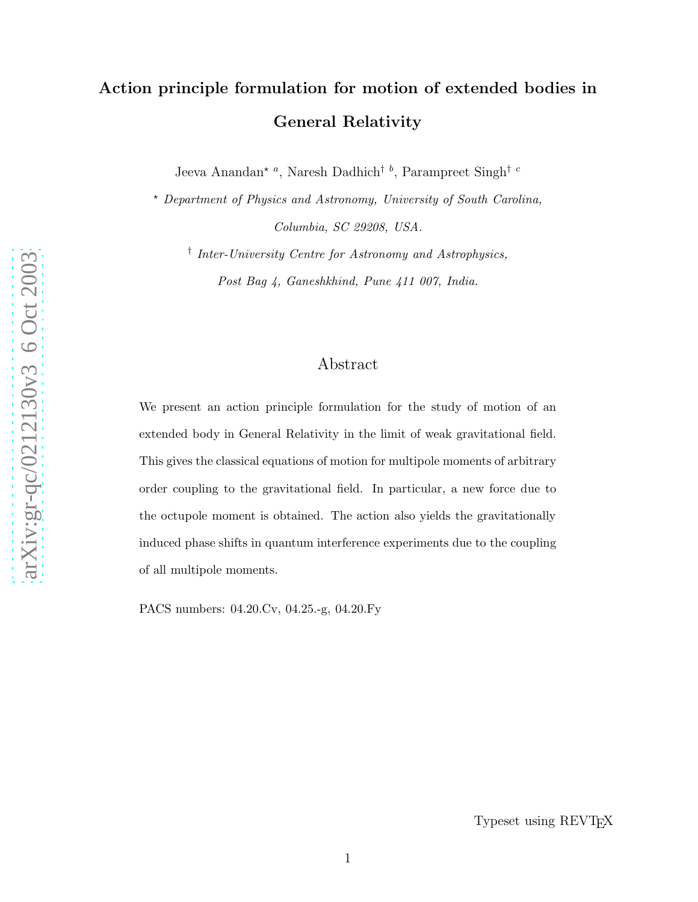# Action principle formulation for motion of extended bodies in General Relativity

Jeeva Anandan<sup>\*</sup><sup>a</sup>, Naresh Dadhich<sup>† *b*</sup>, Parampreet Singh<sup>† *c*</sup>

<sup>⋆</sup> Department of Physics and Astronomy, University of South Carolina, Columbia, SC 29208, USA.

† Inter-University Centre for Astronomy and Astrophysics, Post Bag 4, Ganeshkhind, Pune 411 007, India.

### Abstract

We present an action principle formulation for the study of motion of an extended body in General Relativity in the limit of weak gravitational field. This gives the classical equations of motion for multipole moments of arbitrary order coupling to the gravitational field. In particular, a new force due to the octupole moment is obtained. The action also yields the gravitationally induced phase shifts in quantum interference experiments due to the coupling of all multipole moments.

PACS numbers: 04.20.Cv, 04.25.-g, 04.20.Fy

Typeset using REVTEX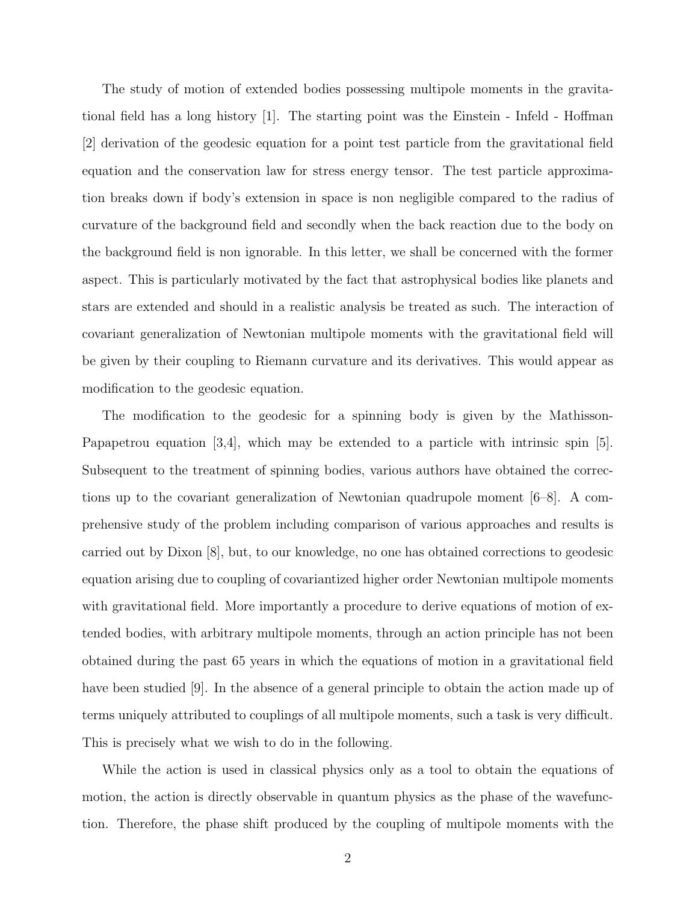The study of motion of extended bodies possessing multipole moments in the gravitational field has a long history [1]. The starting point was the Einstein - Infeld - Hoffman [2] derivation of the geodesic equation for a point test particle from the gravitational field equation and the conservation law for stress energy tensor. The test particle approximation breaks down if body's extension in space is non negligible compared to the radius of curvature of the background field and secondly when the back reaction due to the body on the background field is non ignorable. In this letter, we shall be concerned with the former aspect. This is particularly motivated by the fact that astrophysical bodies like planets and stars are extended and should in a realistic analysis be treated as such. The interaction of covariant generalization of Newtonian multipole moments with the gravitational field will be given by their coupling to Riemann curvature and its derivatives. This would appear as modification to the geodesic equation.

The modification to the geodesic for a spinning body is given by the Mathisson-Papapetrou equation [3,4], which may be extended to a particle with intrinsic spin [5]. Subsequent to the treatment of spinning bodies, various authors have obtained the corrections up to the covariant generalization of Newtonian quadrupole moment [6–8]. A comprehensive study of the problem including comparison of various approaches and results is carried out by Dixon [8], but, to our knowledge, no one has obtained corrections to geodesic equation arising due to coupling of covariantized higher order Newtonian multipole moments with gravitational field. More importantly a procedure to derive equations of motion of extended bodies, with arbitrary multipole moments, through an action principle has not been obtained during the past 65 years in which the equations of motion in a gravitational field have been studied [9]. In the absence of a general principle to obtain the action made up of terms uniquely attributed to couplings of all multipole moments, such a task is very difficult. This is precisely what we wish to do in the following.

While the action is used in classical physics only as a tool to obtain the equations of motion, the action is directly observable in quantum physics as the phase of the wavefunction. Therefore, the phase shift produced by the coupling of multipole moments with the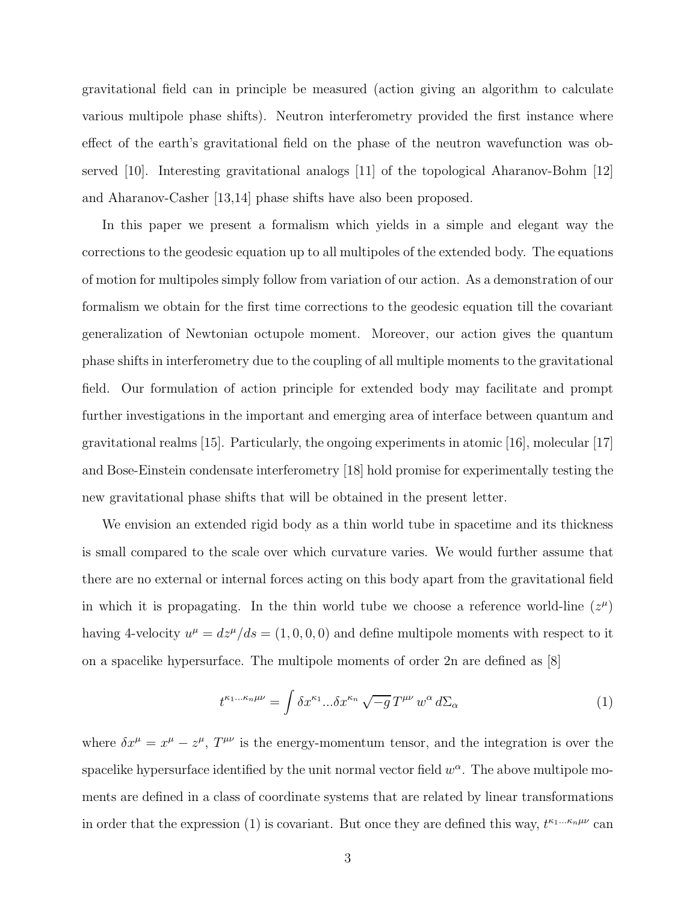gravitational field can in principle be measured (action giving an algorithm to calculate various multipole phase shifts). Neutron interferometry provided the first instance where effect of the earth's gravitational field on the phase of the neutron wavefunction was observed [10]. Interesting gravitational analogs [11] of the topological Aharanov-Bohm [12] and Aharanov-Casher [13,14] phase shifts have also been proposed.

In this paper we present a formalism which yields in a simple and elegant way the corrections to the geodesic equation up to all multipoles of the extended body. The equations of motion for multipoles simply follow from variation of our action. As a demonstration of our formalism we obtain for the first time corrections to the geodesic equation till the covariant generalization of Newtonian octupole moment. Moreover, our action gives the quantum phase shifts in interferometry due to the coupling of all multiple moments to the gravitational field. Our formulation of action principle for extended body may facilitate and prompt further investigations in the important and emerging area of interface between quantum and gravitational realms [15]. Particularly, the ongoing experiments in atomic [16], molecular [17] and Bose-Einstein condensate interferometry [18] hold promise for experimentally testing the new gravitational phase shifts that will be obtained in the present letter.

We envision an extended rigid body as a thin world tube in spacetime and its thickness is small compared to the scale over which curvature varies. We would further assume that there are no external or internal forces acting on this body apart from the gravitational field in which it is propagating. In the thin world tube we choose a reference world-line  $(z^{\mu})$ having 4-velocity  $u^{\mu} = dz^{\mu}/ds = (1, 0, 0, 0)$  and define multipole moments with respect to it on a spacelike hypersurface. The multipole moments of order 2n are defined as [8]

$$
t^{\kappa_1\ldots\kappa_n\mu\nu} = \int \delta x^{\kappa_1} \ldots \delta x^{\kappa_n} \sqrt{-g} \, T^{\mu\nu} \, w^\alpha \, d\Sigma_\alpha \tag{1}
$$

where  $\delta x^{\mu} = x^{\mu} - z^{\mu}$ ,  $T^{\mu\nu}$  is the energy-momentum tensor, and the integration is over the spacelike hypersurface identified by the unit normal vector field  $w^{\alpha}$ . The above multipole moments are defined in a class of coordinate systems that are related by linear transformations in order that the expression (1) is covariant. But once they are defined this way,  $t^{\kappa_1...\kappa_n\mu\nu}$  can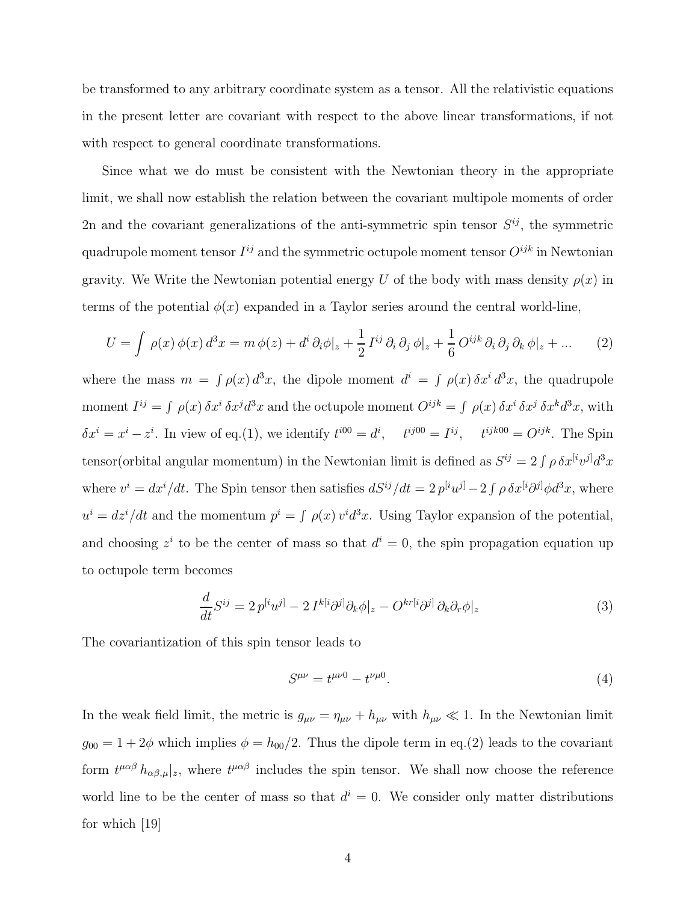be transformed to any arbitrary coordinate system as a tensor. All the relativistic equations in the present letter are covariant with respect to the above linear transformations, if not with respect to general coordinate transformations.

Since what we do must be consistent with the Newtonian theory in the appropriate limit, we shall now establish the relation between the covariant multipole moments of order 2n and the covariant generalizations of the anti-symmetric spin tensor  $S^{ij}$ , the symmetric quadrupole moment tensor  $I^{ij}$  and the symmetric octupole moment tensor  $O^{ijk}$  in Newtonian gravity. We Write the Newtonian potential energy U of the body with mass density  $\rho(x)$  in terms of the potential  $\phi(x)$  expanded in a Taylor series around the central world-line,

$$
U = \int \rho(x) \phi(x) d^3x = m \phi(z) + d^i \partial_i \phi|_z + \frac{1}{2} I^{ij} \partial_i \partial_j \phi|_z + \frac{1}{6} O^{ijk} \partial_i \partial_j \partial_k \phi|_z + \dots \tag{2}
$$

where the mass  $m = \int \rho(x) d^3x$ , the dipole moment  $d^i = \int \rho(x) \delta x^i d^3x$ , the quadrupole moment  $I^{ij} = \int \rho(x) \, \delta x^i \, \delta x^j d^3 x$  and the octupole moment  $O^{ijk} = \int \rho(x) \, \delta x^i \, \delta x^j \, \delta x^k d^3 x$ , with  $\delta x^i = x^i - z^i$ . In view of eq.(1), we identify  $t^{i00} = d^i$ ,  $t^{ij00} = I^{ij}$ ,  $t^{ijk00} = O^{ijk}$ . The Spin tensor(orbital angular momentum) in the Newtonian limit is defined as  $S^{ij} = 2 \int \rho \, \delta x^{[i}v^{j]}d^3x$ where  $v^i = dx^i/dt$ . The Spin tensor then satisfies  $dS^{ij}/dt = 2 p^{[i}u^{j]} - 2 \int \rho \delta x^{[i}\partial^{j]} \phi d^3x$ , where  $u^i = dz^i/dt$  and the momentum  $p^i = \int \rho(x) v^i d^3x$ . Using Taylor expansion of the potential, and choosing  $z^i$  to be the center of mass so that  $d^i = 0$ , the spin propagation equation up to octupole term becomes

$$
\frac{d}{dt}S^{ij} = 2p^{[i}u^{j]} - 2I^{k[i}\partial^{j]}\partial_{k}\phi|_{z} - O^{kr[i}\partial^{j]}\partial_{k}\partial_{r}\phi|_{z}
$$
\n(3)

The covariantization of this spin tensor leads to

$$
S^{\mu\nu} = t^{\mu\nu 0} - t^{\nu\mu 0}.
$$
 (4)

In the weak field limit, the metric is  $g_{\mu\nu} = \eta_{\mu\nu} + h_{\mu\nu}$  with  $h_{\mu\nu} \ll 1$ . In the Newtonian limit  $g_{00} = 1 + 2\phi$  which implies  $\phi = h_{00}/2$ . Thus the dipole term in eq.(2) leads to the covariant form  $t^{\mu\alpha\beta}$   $h_{\alpha\beta,\mu}|_z$ , where  $t^{\mu\alpha\beta}$  includes the spin tensor. We shall now choose the reference world line to be the center of mass so that  $d^{i} = 0$ . We consider only matter distributions for which [19]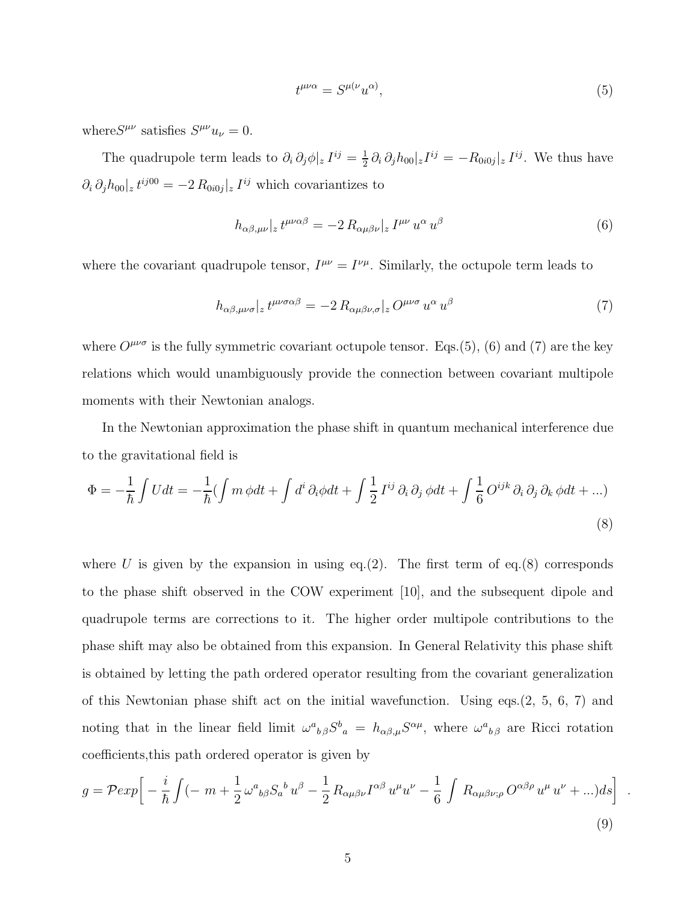$$
t^{\mu\nu\alpha} = S^{\mu(\nu} u^{\alpha)},\tag{5}
$$

where  $S^{\mu\nu}$  satisfies  $S^{\mu\nu}u_{\nu}=0$ .

The quadrupole term leads to  $\partial_i \partial_j \phi |_{z} I^{ij} = \frac{1}{2}$  $\frac{1}{2} \partial_i \partial_j h_{00} |z^{ij} = -R_{0i0j} |z^{ij}$ . We thus have  $\partial_i \partial_j h_{00} | z^{ij00} = -2 R_{0i0j} | z^{ij}$  which covariantizes to

$$
h_{\alpha\beta,\mu\nu}|_{z} t^{\mu\nu\alpha\beta} = -2 R_{\alpha\mu\beta\nu}|_{z} I^{\mu\nu} u^{\alpha} u^{\beta}
$$
\n
$$
\tag{6}
$$

where the covariant quadrupole tensor,  $I^{\mu\nu} = I^{\nu\mu}$ . Similarly, the octupole term leads to

$$
h_{\alpha\beta,\mu\nu\sigma}|_{z} t^{\mu\nu\sigma\alpha\beta} = -2 R_{\alpha\mu\beta\nu,\sigma}|_{z} O^{\mu\nu\sigma} u^{\alpha} u^{\beta} \tag{7}
$$

where  $O^{\mu\nu\sigma}$  is the fully symmetric covariant octupole tensor. Eqs.(5), (6) and (7) are the key relations which would unambiguously provide the connection between covariant multipole moments with their Newtonian analogs.

In the Newtonian approximation the phase shift in quantum mechanical interference due to the gravitational field is

$$
\Phi = -\frac{1}{\hbar} \int U dt = -\frac{1}{\hbar} (\int m \phi dt + \int d^i \partial_i \phi dt + \int \frac{1}{2} I^{ij} \partial_i \partial_j \phi dt + \int \frac{1}{6} O^{ijk} \partial_i \partial_j \partial_k \phi dt + ...)
$$
\n(8)

where U is given by the expansion in using eq.(2). The first term of eq.(8) corresponds to the phase shift observed in the COW experiment [10], and the subsequent dipole and quadrupole terms are corrections to it. The higher order multipole contributions to the phase shift may also be obtained from this expansion. In General Relativity this phase shift is obtained by letting the path ordered operator resulting from the covariant generalization of this Newtonian phase shift act on the initial wavefunction. Using eqs.(2, 5, 6, 7) and noting that in the linear field limit  $\omega^a{}_{b\beta}S^b{}_a = h_{\alpha\beta,\mu}S^{\alpha\mu}$ , where  $\omega^a{}_{b\beta}$  are Ricci rotation coefficients,this path ordered operator is given by

$$
g = \mathcal{P} \exp\left[-\frac{i}{\hbar} \int (-m + \frac{1}{2} \omega^a{}_{b\beta} S_a{}^b u^\beta - \frac{1}{2} R_{\alpha\mu\beta\nu} I^{\alpha\beta} u^\mu u^\nu - \frac{1}{6} \int R_{\alpha\mu\beta\nu;\rho} O^{\alpha\beta\rho} u^\mu u^\nu + ... ) ds\right]
$$
\n(9)

.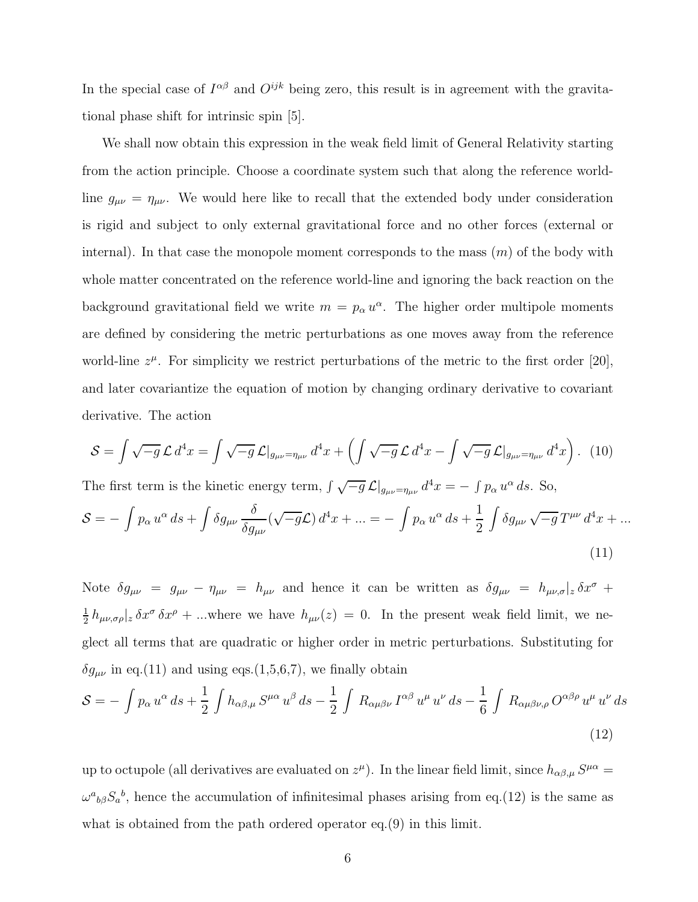In the special case of  $I^{\alpha\beta}$  and  $O^{ijk}$  being zero, this result is in agreement with the gravitational phase shift for intrinsic spin [5].

We shall now obtain this expression in the weak field limit of General Relativity starting from the action principle. Choose a coordinate system such that along the reference worldline  $g_{\mu\nu} = \eta_{\mu\nu}$ . We would here like to recall that the extended body under consideration is rigid and subject to only external gravitational force and no other forces (external or internal). In that case the monopole moment corresponds to the mass  $(m)$  of the body with whole matter concentrated on the reference world-line and ignoring the back reaction on the background gravitational field we write  $m = p_{\alpha} u^{\alpha}$ . The higher order multipole moments are defined by considering the metric perturbations as one moves away from the reference world-line  $z^{\mu}$ . For simplicity we restrict perturbations of the metric to the first order [20], and later covariantize the equation of motion by changing ordinary derivative to covariant derivative. The action

$$
S = \int \sqrt{-g} \mathcal{L} d^4 x = \int \sqrt{-g} \mathcal{L} \vert_{g_{\mu\nu} = \eta_{\mu\nu}} d^4 x + \left( \int \sqrt{-g} \mathcal{L} d^4 x - \int \sqrt{-g} \mathcal{L} \vert_{g_{\mu\nu} = \eta_{\mu\nu}} d^4 x \right). (10)
$$

The first term is the kinetic energy term,  $\int \sqrt{-g} \mathcal{L}|_{g_{\mu\nu}=\eta_{\mu\nu}} d^4x = - \int p_\alpha u^\alpha ds$ . So,

$$
S = -\int p_{\alpha} u^{\alpha} ds + \int \delta g_{\mu\nu} \frac{\delta}{\delta g_{\mu\nu}} (\sqrt{-g} \mathcal{L}) d^4 x + \dots = -\int p_{\alpha} u^{\alpha} ds + \frac{1}{2} \int \delta g_{\mu\nu} \sqrt{-g} T^{\mu\nu} d^4 x + \dots
$$
\n(11)

Note  $\delta g_{\mu\nu} = g_{\mu\nu} - \eta_{\mu\nu} = h_{\mu\nu}$  and hence it can be written as  $\delta g_{\mu\nu} = h_{\mu\nu,\sigma}|_z \delta x^{\sigma} +$ 1  $\frac{1}{2} h_{\mu\nu,\sigma\rho}|_z \, \delta x^{\sigma} \, \delta x^{\rho} + ...$  where we have  $h_{\mu\nu}(z) = 0$ . In the present weak field limit, we neglect all terms that are quadratic or higher order in metric perturbations. Substituting for  $\delta g_{\mu\nu}$  in eq.(11) and using eqs.(1,5,6,7), we finally obtain

$$
S = -\int p_{\alpha} u^{\alpha} ds + \frac{1}{2} \int h_{\alpha\beta,\mu} S^{\mu\alpha} u^{\beta} ds - \frac{1}{2} \int R_{\alpha\mu\beta\nu} I^{\alpha\beta} u^{\mu} u^{\nu} ds - \frac{1}{6} \int R_{\alpha\mu\beta\nu,\rho} O^{\alpha\beta\rho} u^{\mu} u^{\nu} ds
$$
\n(12)

up to octupole (all derivatives are evaluated on  $z^{\mu}$ ). In the linear field limit, since  $h_{\alpha\beta,\mu}S^{\mu\alpha}$  $\omega^a{}_{b\beta}S_a{}^b$ , hence the accumulation of infinitesimal phases arising from eq.(12) is the same as what is obtained from the path ordered operator eq.(9) in this limit.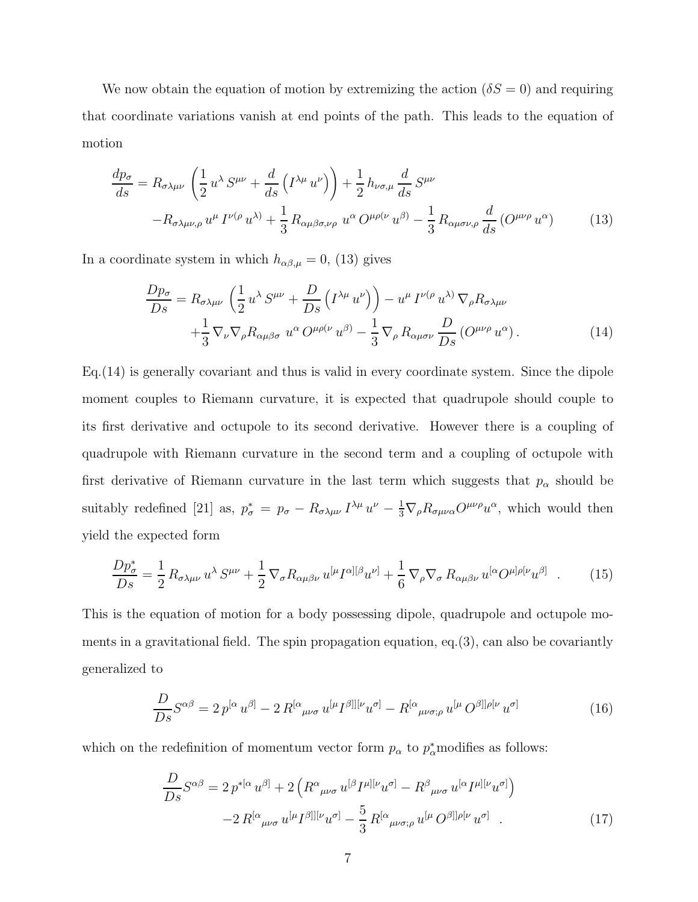We now obtain the equation of motion by extremizing the action  $(\delta S = 0)$  and requiring that coordinate variations vanish at end points of the path. This leads to the equation of motion

$$
\frac{dp_{\sigma}}{ds} = R_{\sigma\lambda\mu\nu} \left( \frac{1}{2} u^{\lambda} S^{\mu\nu} + \frac{d}{ds} \left( I^{\lambda\mu} u^{\nu} \right) \right) + \frac{1}{2} h_{\nu\sigma,\mu} \frac{d}{ds} S^{\mu\nu} \n- R_{\sigma\lambda\mu\nu,\rho} u^{\mu} I^{\nu(\rho} u^{\lambda)} + \frac{1}{3} R_{\alpha\mu\beta\sigma,\nu\rho} u^{\alpha} O^{\mu\rho(\nu} u^{\beta)} - \frac{1}{3} R_{\alpha\mu\sigma\nu,\rho} \frac{d}{ds} (O^{\mu\nu\rho} u^{\alpha})
$$
\n(13)

In a coordinate system in which  $h_{\alpha\beta,\mu} = 0$ , (13) gives

$$
\frac{Dp_{\sigma}}{Ds} = R_{\sigma\lambda\mu\nu} \left( \frac{1}{2} u^{\lambda} S^{\mu\nu} + \frac{D}{Ds} \left( I^{\lambda\mu} u^{\nu} \right) \right) - u^{\mu} I^{\nu(\rho} u^{\lambda)} \nabla_{\rho} R_{\sigma\lambda\mu\nu} \n+ \frac{1}{3} \nabla_{\nu} \nabla_{\rho} R_{\alpha\mu\beta\sigma} u^{\alpha} O^{\mu\rho(\nu} u^{\beta)} - \frac{1}{3} \nabla_{\rho} R_{\alpha\mu\sigma\nu} \frac{D}{Ds} \left( O^{\mu\nu\rho} u^{\alpha} \right).
$$
\n(14)

Eq.(14) is generally covariant and thus is valid in every coordinate system. Since the dipole moment couples to Riemann curvature, it is expected that quadrupole should couple to its first derivative and octupole to its second derivative. However there is a coupling of quadrupole with Riemann curvature in the second term and a coupling of octupole with first derivative of Riemann curvature in the last term which suggests that  $p_{\alpha}$  should be suitably redefined [21] as,  $p_{\sigma}^* = p_{\sigma} - R_{\sigma\lambda\mu\nu} I^{\lambda\mu} u^{\nu} - \frac{1}{3} \nabla_{\rho} R_{\sigma\mu\nu\alpha} O^{\mu\nu\rho} u^{\alpha}$ , which would then yield the expected form

$$
\frac{Dp_{\sigma}^{*}}{Ds} = \frac{1}{2} R_{\sigma\lambda\mu\nu} u^{\lambda} S^{\mu\nu} + \frac{1}{2} \nabla_{\sigma} R_{\alpha\mu\beta\nu} u^{[\mu} I^{\alpha][\beta} u^{\nu]} + \frac{1}{6} \nabla_{\rho} \nabla_{\sigma} R_{\alpha\mu\beta\nu} u^{[\alpha} O^{\mu]\rho[\nu} u^{\beta]} \quad . \tag{15}
$$

This is the equation of motion for a body possessing dipole, quadrupole and octupole moments in a gravitational field. The spin propagation equation, eq.  $(3)$ , can also be covariantly generalized to

$$
\frac{D}{Ds}S^{\alpha\beta} = 2p^{[\alpha}u^{\beta]} - 2R^{[\alpha}{}_{\mu\nu\sigma}u^{[\mu}I^{\beta]][\nu}u^{\sigma]} - R^{[\alpha}{}_{\mu\nu\sigma;\rho}u^{[\mu}O^{\beta]]\rho[\nu}u^{\sigma]}
$$
(16)

which on the redefinition of momentum vector form  $p_{\alpha}$  to  $p_{\alpha}^*$  modifies as follows:

$$
\frac{D}{Ds}S^{\alpha\beta} = 2 p^{*[\alpha} u^{\beta]} + 2 \left( R^{\alpha}{}_{\mu\nu\sigma} u^{[\beta} I^{\mu][\nu} u^{\sigma]} - R^{\beta}{}_{\mu\nu\sigma} u^{[\alpha} I^{\mu][\nu} u^{\sigma]} \right)
$$

$$
-2 R^{[\alpha}{}_{\mu\nu\sigma} u^{[\mu} I^{\beta]][\nu} u^{\sigma]} - \frac{5}{3} R^{[\alpha}{}_{\mu\nu\sigma;\rho} u^{[\mu} O^{\beta]]\rho[\nu} u^{\sigma]} . \tag{17}
$$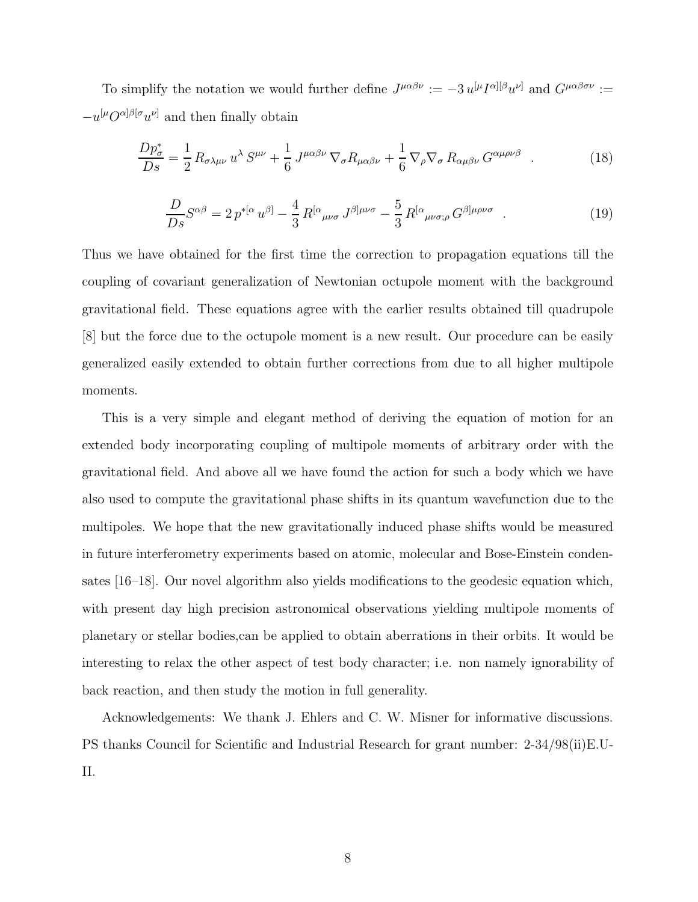To simplify the notation we would further define  $J^{\mu\alpha\beta\nu} := -3 u^{[\mu} I^{\alpha][\beta} u^{\nu]}$  and  $G^{\mu\alpha\beta\sigma\nu} :=$  $-u^{[\mu}O^{\alpha]\beta[\sigma}u^{\nu]}$  and then finally obtain

$$
\frac{Dp_{\sigma}^{*}}{Ds} = \frac{1}{2} R_{\sigma\lambda\mu\nu} u^{\lambda} S^{\mu\nu} + \frac{1}{6} J^{\mu\alpha\beta\nu} \nabla_{\sigma} R_{\mu\alpha\beta\nu} + \frac{1}{6} \nabla_{\rho} \nabla_{\sigma} R_{\alpha\mu\beta\nu} G^{\alpha\mu\rho\nu\beta} . \tag{18}
$$

$$
\frac{D}{Ds}S^{\alpha\beta} = 2p^{*[\alpha}u^{\beta]} - \frac{4}{3}R^{[\alpha}{}_{\mu\nu\sigma}J^{\beta]\mu\nu\sigma} - \frac{5}{3}R^{[\alpha}{}_{\mu\nu\sigma;\rho}G^{\beta]\mu\rho\nu\sigma} \quad . \tag{19}
$$

Thus we have obtained for the first time the correction to propagation equations till the coupling of covariant generalization of Newtonian octupole moment with the background gravitational field. These equations agree with the earlier results obtained till quadrupole [8] but the force due to the octupole moment is a new result. Our procedure can be easily generalized easily extended to obtain further corrections from due to all higher multipole moments.

This is a very simple and elegant method of deriving the equation of motion for an extended body incorporating coupling of multipole moments of arbitrary order with the gravitational field. And above all we have found the action for such a body which we have also used to compute the gravitational phase shifts in its quantum wavefunction due to the multipoles. We hope that the new gravitationally induced phase shifts would be measured in future interferometry experiments based on atomic, molecular and Bose-Einstein condensates [16–18]. Our novel algorithm also yields modifications to the geodesic equation which, with present day high precision astronomical observations yielding multipole moments of planetary or stellar bodies,can be applied to obtain aberrations in their orbits. It would be interesting to relax the other aspect of test body character; i.e. non namely ignorability of back reaction, and then study the motion in full generality.

Acknowledgements: We thank J. Ehlers and C. W. Misner for informative discussions. PS thanks Council for Scientific and Industrial Research for grant number: 2-34/98(ii)E.U-II.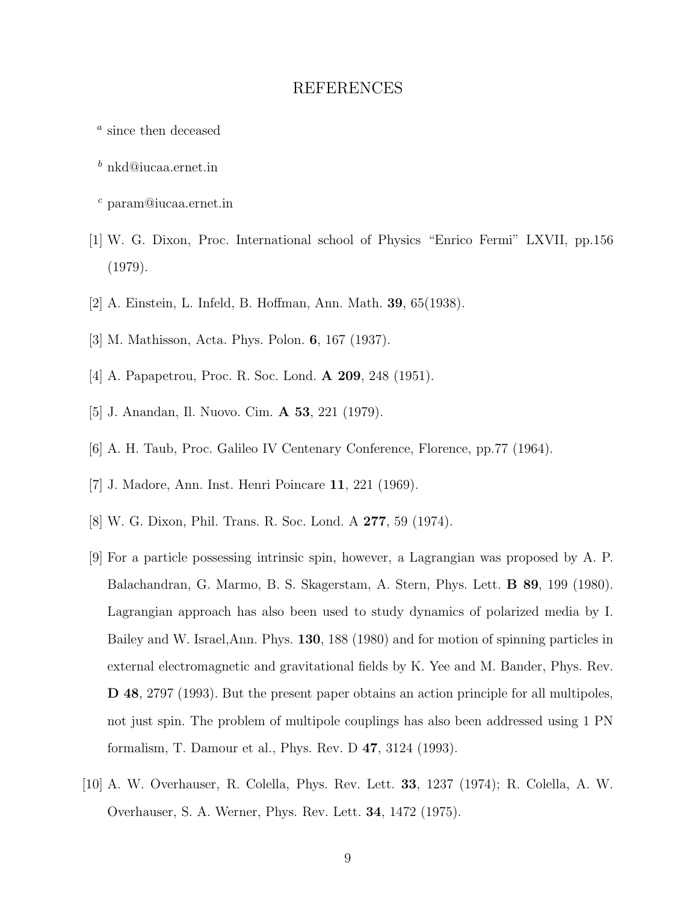#### REFERENCES

- a since then deceased
- <sup>b</sup> nkd@iucaa.ernet.in
- <sup>c</sup> param@iucaa.ernet.in
- [1] W. G. Dixon, Proc. International school of Physics "Enrico Fermi" LXVII, pp.156 (1979).
- [2] A. Einstein, L. Infeld, B. Hoffman, Ann. Math. 39, 65(1938).
- [3] M. Mathisson, Acta. Phys. Polon. 6, 167 (1937).
- [4] A. Papapetrou, Proc. R. Soc. Lond. A 209, 248 (1951).
- [5] J. Anandan, Il. Nuovo. Cim. A 53, 221 (1979).
- [6] A. H. Taub, Proc. Galileo IV Centenary Conference, Florence, pp.77 (1964).
- [7] J. Madore, Ann. Inst. Henri Poincare 11, 221 (1969).
- [8] W. G. Dixon, Phil. Trans. R. Soc. Lond. A 277, 59 (1974).
- [9] For a particle possessing intrinsic spin, however, a Lagrangian was proposed by A. P. Balachandran, G. Marmo, B. S. Skagerstam, A. Stern, Phys. Lett. B 89, 199 (1980). Lagrangian approach has also been used to study dynamics of polarized media by I. Bailey and W. Israel,Ann. Phys. 130, 188 (1980) and for motion of spinning particles in external electromagnetic and gravitational fields by K. Yee and M. Bander, Phys. Rev. D 48, 2797 (1993). But the present paper obtains an action principle for all multipoles, not just spin. The problem of multipole couplings has also been addressed using 1 PN formalism, T. Damour et al., Phys. Rev. D 47, 3124 (1993).
- [10] A. W. Overhauser, R. Colella, Phys. Rev. Lett. 33, 1237 (1974); R. Colella, A. W. Overhauser, S. A. Werner, Phys. Rev. Lett. 34, 1472 (1975).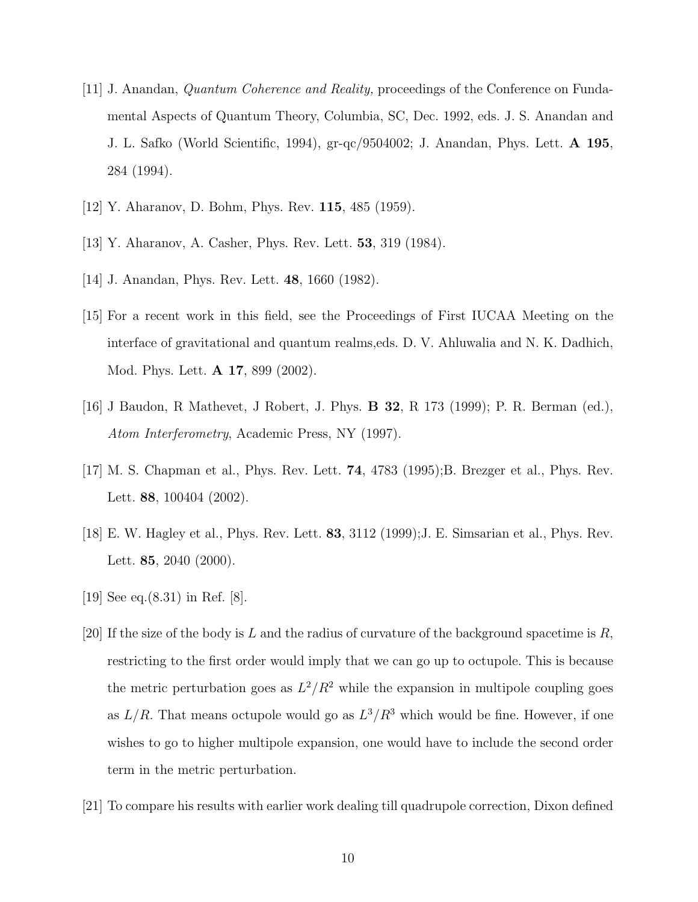- [11] J. Anandan, Quantum Coherence and Reality, proceedings of the Conference on Fundamental Aspects of Quantum Theory, Columbia, SC, Dec. 1992, eds. J. S. Anandan and J. L. Safko (World Scientific, 1994), gr-qc/9504002; J. Anandan, Phys. Lett. A 195, 284 (1994).
- [12] Y. Aharanov, D. Bohm, Phys. Rev. 115, 485 (1959).
- [13] Y. Aharanov, A. Casher, Phys. Rev. Lett. 53, 319 (1984).
- [14] J. Anandan, Phys. Rev. Lett. 48, 1660 (1982).
- [15] For a recent work in this field, see the Proceedings of First IUCAA Meeting on the interface of gravitational and quantum realms,eds. D. V. Ahluwalia and N. K. Dadhich, Mod. Phys. Lett. A 17, 899 (2002).
- [16] J Baudon, R Mathevet, J Robert, J. Phys. B 32, R 173 (1999); P. R. Berman (ed.), Atom Interferometry, Academic Press, NY (1997).
- [17] M. S. Chapman et al., Phys. Rev. Lett. 74, 4783 (1995);B. Brezger et al., Phys. Rev. Lett. **88**, 100404 (2002).
- [18] E. W. Hagley et al., Phys. Rev. Lett. 83, 3112 (1999);J. E. Simsarian et al., Phys. Rev. Lett. **85**, 2040 (2000).
- [19] See eq.(8.31) in Ref. [8].
- [20] If the size of the body is L and the radius of curvature of the background spacetime is  $R$ , restricting to the first order would imply that we can go up to octupole. This is because the metric perturbation goes as  $L^2/R^2$  while the expansion in multipole coupling goes as  $L/R$ . That means octupole would go as  $L^3/R^3$  which would be fine. However, if one wishes to go to higher multipole expansion, one would have to include the second order term in the metric perturbation.
- [21] To compare his results with earlier work dealing till quadrupole correction, Dixon defined